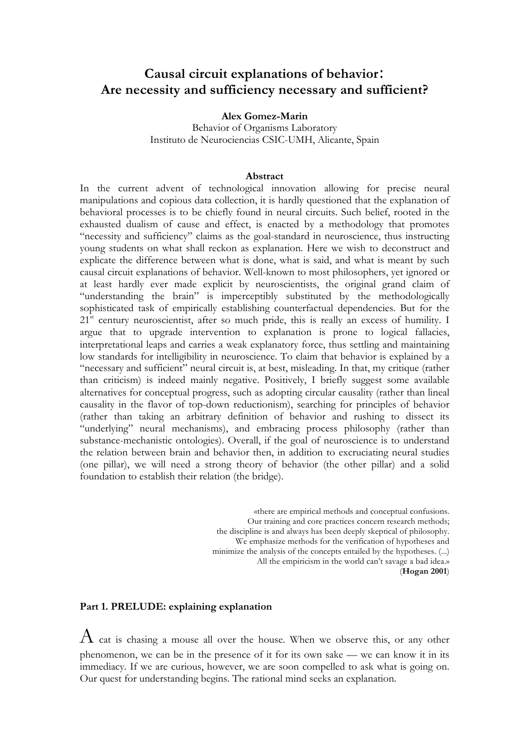# **Causal circuit explanations of behavior**: **Are necessity and sufficiency necessary and sufficient?**

**Alex Gomez-Marin**

Behavior of Organisms Laboratory Instituto de Neurociencias CSIC-UMH, Alicante, Spain

#### **Abstract**

In the current advent of technological innovation allowing for precise neural manipulations and copious data collection, it is hardly questioned that the explanation of behavioral processes is to be chiefly found in neural circuits. Such belief, rooted in the exhausted dualism of cause and effect, is enacted by a methodology that promotes "necessity and sufficiency" claims as the goal-standard in neuroscience, thus instructing young students on what shall reckon as explanation. Here we wish to deconstruct and explicate the difference between what is done, what is said, and what is meant by such causal circuit explanations of behavior. Well-known to most philosophers, yet ignored or at least hardly ever made explicit by neuroscientists, the original grand claim of "understanding the brain" is imperceptibly substituted by the methodologically sophisticated task of empirically establishing counterfactual dependencies. But for the 21<sup>st</sup> century neuroscientist, after so much pride, this is really an excess of humility. I argue that to upgrade intervention to explanation is prone to logical fallacies, interpretational leaps and carries a weak explanatory force, thus settling and maintaining low standards for intelligibility in neuroscience. To claim that behavior is explained by a "necessary and sufficient" neural circuit is, at best, misleading. In that, my critique (rather than criticism) is indeed mainly negative. Positively, I briefly suggest some available alternatives for conceptual progress, such as adopting circular causality (rather than lineal causality in the flavor of top-down reductionism), searching for principles of behavior (rather than taking an arbitrary definition of behavior and rushing to dissect its "underlying" neural mechanisms), and embracing process philosophy (rather than substance-mechanistic ontologies). Overall, if the goal of neuroscience is to understand the relation between brain and behavior then, in addition to excruciating neural studies (one pillar), we will need a strong theory of behavior (the other pillar) and a solid foundation to establish their relation (the bridge).

> «there are empirical methods and conceptual confusions. Our training and core practices concern research methods; the discipline is and always has been deeply skeptical of philosophy. We emphasize methods for the verification of hypotheses and minimize the analysis of the concepts entailed by the hypotheses. (...) All the empiricism in the world can't savage a bad idea.» (**Hogan 2001**)

#### **Part 1. PRELUDE: explaining explanation**

 $A$  cat is chasing a mouse all over the house. When we observe this, or any other phenomenon, we can be in the presence of it for its own sake — we can know it in its immediacy. If we are curious, however, we are soon compelled to ask what is going on. Our quest for understanding begins. The rational mind seeks an explanation.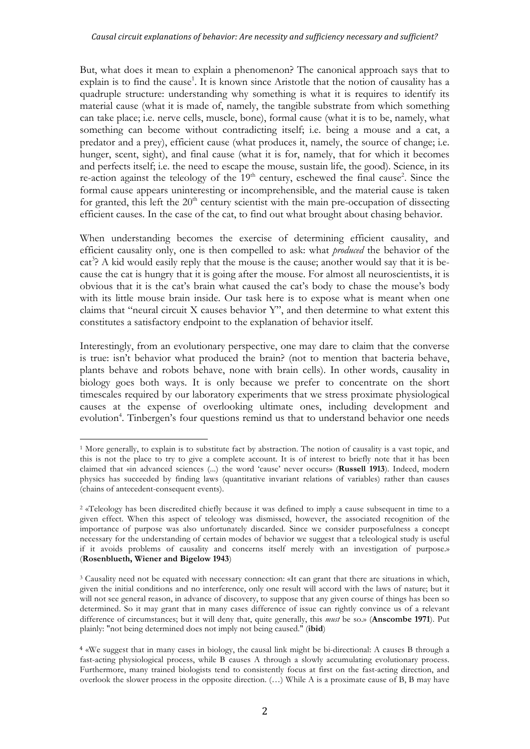#### *Causal circuit explanations of behavior: Are necessity and sufficiency necessary and sufficient?*

But, what does it mean to explain a phenomenon? The canonical approach says that to explain is to find the cause<sup>1</sup>. It is known since Aristotle that the notion of causality has a quadruple structure: understanding why something is what it is requires to identify its material cause (what it is made of, namely, the tangible substrate from which something can take place; i.e. nerve cells, muscle, bone), formal cause (what it is to be, namely, what something can become without contradicting itself; i.e. being a mouse and a cat, a predator and a prey), efficient cause (what produces it, namely, the source of change; i.e. hunger, scent, sight), and final cause (what it is for, namely, that for which it becomes and perfects itself; i.e. the need to escape the mouse, sustain life, the good). Science, in its re-action against the teleology of the  $19<sup>th</sup>$  century, eschewed the final cause<sup>2</sup>. Since the formal cause appears uninteresting or incomprehensible, and the material cause is taken for granted, this left the  $20<sup>th</sup>$  century scientist with the main pre-occupation of dissecting efficient causes. In the case of the cat, to find out what brought about chasing behavior.

When understanding becomes the exercise of determining efficient causality, and efficient causality only, one is then compelled to ask: what *produced* the behavior of the cat<sup>3</sup>? A kid would easily reply that the mouse is the cause; another would say that it is because the cat is hungry that it is going after the mouse. For almost all neuroscientists, it is obvious that it is the cat's brain what caused the cat's body to chase the mouse's body with its little mouse brain inside. Our task here is to expose what is meant when one claims that "neural circuit X causes behavior Y", and then determine to what extent this constitutes a satisfactory endpoint to the explanation of behavior itself.

Interestingly, from an evolutionary perspective, one may dare to claim that the converse is true: isn't behavior what produced the brain? (not to mention that bacteria behave, plants behave and robots behave, none with brain cells). In other words, causality in biology goes both ways. It is only because we prefer to concentrate on the short timescales required by our laboratory experiments that we stress proximate physiological causes at the expense of overlooking ultimate ones, including development and evolution<sup>4</sup>. Tinbergen's four questions remind us that to understand behavior one needs

<sup>1</sup> More generally, to explain is to substitute fact by abstraction. The notion of causality is a vast topic, and this is not the place to try to give a complete account. It is of interest to briefly note that it has been claimed that «in advanced sciences (...) the word 'cause' never occurs» (**Russell 1913**). Indeed, modern physics has succeeded by finding laws (quantitative invariant relations of variables) rather than causes (chains of antecedent-consequent events).

<sup>&</sup>lt;sup>2</sup> «Teleology has been discredited chiefly because it was defined to imply a cause subsequent in time to a given effect. When this aspect of teleology was dismissed, however, the associated recognition of the importance of purpose was also unfortunately discarded. Since we consider purposefulness a concept necessary for the understanding of certain modes of behavior we suggest that a teleological study is useful if it avoids problems of causality and concerns itself merely with an investigation of purpose.» (**Rosenblueth, Wiener and Bigelow 1943**)

<sup>3</sup> Causality need not be equated with necessary connection: «It can grant that there are situations in which, given the initial conditions and no interference, only one result will accord with the laws of nature; but it will not see general reason, in advance of discovery, to suppose that any given course of things has been so determined. So it may grant that in many cases difference of issue can rightly convince us of a relevant difference of circumstances; but it will deny that, quite generally, this *must* be so.» (**Anscombe 1971**). Put plainly: "not being determined does not imply not being caused." (**ibid**)

<sup>4</sup> «We suggest that in many cases in biology, the causal link might be bi-directional: A causes B through a fast-acting physiological process, while B causes A through a slowly accumulating evolutionary process. Furthermore, many trained biologists tend to consistently focus at first on the fast-acting direction, and overlook the slower process in the opposite direction. (…) While A is a proximate cause of B, B may have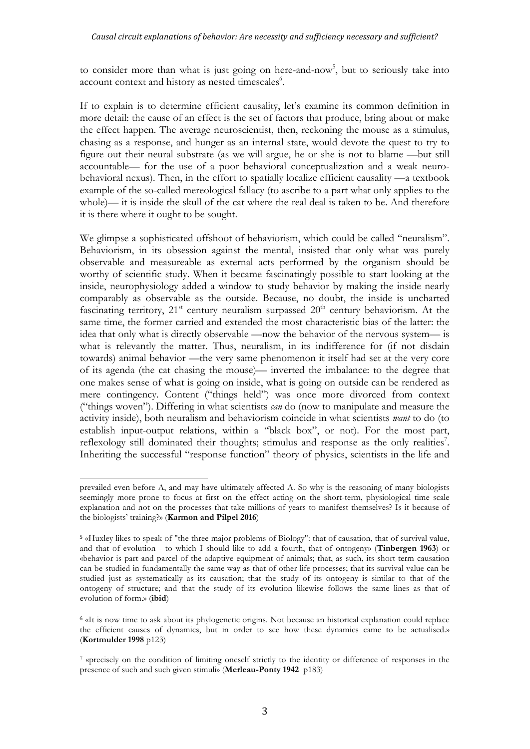to consider more than what is just going on here-and-now<sup>5</sup>, but to seriously take into account context and history as nested timescales<sup>6</sup>.

If to explain is to determine efficient causality, let's examine its common definition in more detail: the cause of an effect is the set of factors that produce, bring about or make the effect happen. The average neuroscientist, then, reckoning the mouse as a stimulus, chasing as a response, and hunger as an internal state, would devote the quest to try to figure out their neural substrate (as we will argue, he or she is not to blame —but still accountable— for the use of a poor behavioral conceptualization and a weak neurobehavioral nexus). Then, in the effort to spatially localize efficient causality —a textbook example of the so-called mereological fallacy (to ascribe to a part what only applies to the whole)— it is inside the skull of the cat where the real deal is taken to be. And therefore it is there where it ought to be sought.

We glimpse a sophisticated offshoot of behaviorism, which could be called "neuralism". Behaviorism, in its obsession against the mental, insisted that only what was purely observable and measureable as external acts performed by the organism should be worthy of scientific study. When it became fascinatingly possible to start looking at the inside, neurophysiology added a window to study behavior by making the inside nearly comparably as observable as the outside. Because, no doubt, the inside is uncharted fascinating territory,  $21<sup>st</sup>$  century neuralism surpassed  $20<sup>th</sup>$  century behaviorism. At the same time, the former carried and extended the most characteristic bias of the latter: the idea that only what is directly observable —now the behavior of the nervous system— is what is relevantly the matter. Thus, neuralism, in its indifference for (if not disdain towards) animal behavior —the very same phenomenon it itself had set at the very core of its agenda (the cat chasing the mouse)— inverted the imbalance: to the degree that one makes sense of what is going on inside, what is going on outside can be rendered as mere contingency. Content ("things held") was once more divorced from context ("things woven"). Differing in what scientists *can* do (now to manipulate and measure the activity inside), both neuralism and behaviorism coincide in what scientists *want* to do (to establish input-output relations, within a "black box", or not). For the most part, reflexology still dominated their thoughts; stimulus and response as the only realities<sup>7</sup>. Inheriting the successful "response function" theory of physics, scientists in the life and

prevailed even before A, and may have ultimately affected A. So why is the reasoning of many biologists seemingly more prone to focus at first on the effect acting on the short-term, physiological time scale explanation and not on the processes that take millions of years to manifest themselves? Is it because of the biologists' training?» (**Karmon and Pilpel 2016**)

<sup>5</sup> «Huxley likes to speak of "the three major problems of Biology": that of causation, that of survival value, and that of evolution - to which I should like to add a fourth, that of ontogeny» (**Tinbergen 1963**) or «behavior is part and parcel of the adaptive equipment of animals; that, as such, its short-term causation can be studied in fundamentally the same way as that of other life processes; that its survival value can be studied just as systematically as its causation; that the study of its ontogeny is similar to that of the ontogeny of structure; and that the study of its evolution likewise follows the same lines as that of evolution of form.» (**ibid**)

<sup>6</sup> «It is now time to ask about its phylogenetic origins. Not because an historical explanation could replace the efficient causes of dynamics, but in order to see how these dynamics came to be actualised.» (**Kortmulder 1998** p123)

<sup>7</sup> «precisely on the condition of limiting oneself strictly to the identity or difference of responses in the presence of such and such given stimuli» (**Merleau-Ponty 1942** p183)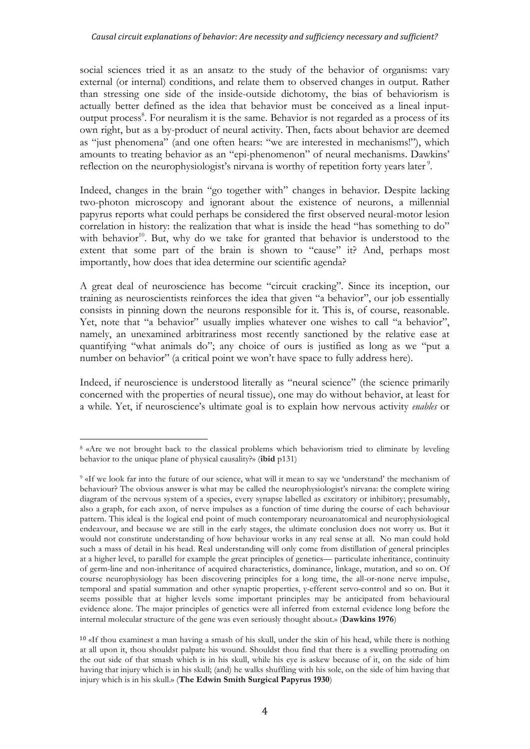social sciences tried it as an ansatz to the study of the behavior of organisms: vary external (or internal) conditions, and relate them to observed changes in output. Rather than stressing one side of the inside-outside dichotomy, the bias of behaviorism is actually better defined as the idea that behavior must be conceived as a lineal inputoutput process<sup>8</sup>. For neuralism it is the same. Behavior is not regarded as a process of its own right, but as a by-product of neural activity. Then, facts about behavior are deemed as "just phenomena" (and one often hears: "we are interested in mechanisms!"), which amounts to treating behavior as an "epi-phenomenon" of neural mechanisms. Dawkins' reflection on the neurophysiologist's nirvana is worthy of repetition forty years later<sup>9</sup>.

Indeed, changes in the brain "go together with" changes in behavior. Despite lacking two-photon microscopy and ignorant about the existence of neurons, a millennial papyrus reports what could perhaps be considered the first observed neural-motor lesion correlation in history: the realization that what is inside the head "has something to do" with behavior<sup>10</sup>. But, why do we take for granted that behavior is understood to the extent that some part of the brain is shown to "cause" it? And, perhaps most importantly, how does that idea determine our scientific agenda?

A great deal of neuroscience has become "circuit cracking". Since its inception, our training as neuroscientists reinforces the idea that given "a behavior", our job essentially consists in pinning down the neurons responsible for it. This is, of course, reasonable. Yet, note that "a behavior" usually implies whatever one wishes to call "a behavior", namely, an unexamined arbitrariness most recently sanctioned by the relative ease at quantifying "what animals do"; any choice of ours is justified as long as we "put a number on behavior" (a critical point we won't have space to fully address here).

Indeed, if neuroscience is understood literally as "neural science" (the science primarily concerned with the properties of neural tissue), one may do without behavior, at least for a while. Yet, if neuroscience's ultimate goal is to explain how nervous activity *enables* or

<sup>8</sup> «Are we not brought back to the classical problems which behaviorism tried to eliminate by leveling behavior to the unique plane of physical causality?» (**ibid** p131)

<sup>9</sup> «If we look far into the future of our science, what will it mean to say we 'understand' the mechanism of behaviour? The obvious answer is what may be called the neurophysiologist's nirvana: the complete wiring diagram of the nervous system of a species, every synapse labelled as excitatory or inhibitory; presumably, also a graph, for each axon, of nerve impulses as a function of time during the course of each behaviour pattern. This ideal is the logical end point of much contemporary neuroanatomical and neurophysiological endeavour, and because we are still in the early stages, the ultimate conclusion does not worry us. But it would not constitute understanding of how behaviour works in any real sense at all. No man could hold such a mass of detail in his head. Real understanding will only come from distillation of general principles at a higher level, to parallel for example the great principles of genetics— particulate inheritance, continuity of germ-line and non-inheritance of acquired characteristics, dominance, linkage, mutation, and so on. Of course neurophysiology has been discovering principles for a long time, the all-or-none nerve impulse, temporal and spatial summation and other synaptic properties, y-efferent servo-control and so on. But it seems possible that at higher levels some important principles may be anticipated from behavioural evidence alone. The major principles of genetics were all inferred from external evidence long before the internal molecular structure of the gene was even seriously thought about.» (**Dawkins 1976**)

<sup>10</sup> «If thou examinest a man having a smash of his skull, under the skin of his head, while there is nothing at all upon it, thou shouldst palpate his wound. Shouldst thou find that there is a swelling protruding on the out side of that smash which is in his skull, while his eye is askew because of it, on the side of him having that injury which is in his skull; (and) he walks shuffling with his sole, on the side of him having that injury which is in his skull.» (**The Edwin Smith Surgical Papyrus 1930**)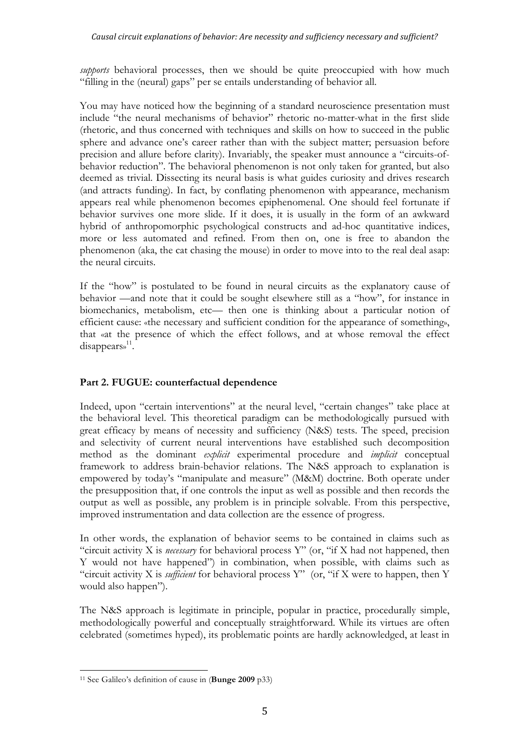*supports* behavioral processes, then we should be quite preoccupied with how much "filling in the (neural) gaps" per se entails understanding of behavior all.

You may have noticed how the beginning of a standard neuroscience presentation must include "the neural mechanisms of behavior" rhetoric no-matter-what in the first slide (rhetoric, and thus concerned with techniques and skills on how to succeed in the public sphere and advance one's career rather than with the subject matter; persuasion before precision and allure before clarity). Invariably, the speaker must announce a "circuits-ofbehavior reduction". The behavioral phenomenon is not only taken for granted, but also deemed as trivial. Dissecting its neural basis is what guides curiosity and drives research (and attracts funding). In fact, by conflating phenomenon with appearance, mechanism appears real while phenomenon becomes epiphenomenal. One should feel fortunate if behavior survives one more slide. If it does, it is usually in the form of an awkward hybrid of anthropomorphic psychological constructs and ad-hoc quantitative indices, more or less automated and refined. From then on, one is free to abandon the phenomenon (aka, the cat chasing the mouse) in order to move into to the real deal asap: the neural circuits.

If the "how" is postulated to be found in neural circuits as the explanatory cause of behavior —and note that it could be sought elsewhere still as a "how", for instance in biomechanics, metabolism, etc— then one is thinking about a particular notion of efficient cause: «the necessary and sufficient condition for the appearance of something», that «at the presence of which the effect follows, and at whose removal the effect disappears»<sup>11</sup>.

### **Part 2. FUGUE: counterfactual dependence**

Indeed, upon "certain interventions" at the neural level, "certain changes" take place at the behavioral level. This theoretical paradigm can be methodologically pursued with great efficacy by means of necessity and sufficiency (N&S) tests. The speed, precision and selectivity of current neural interventions have established such decomposition method as the dominant *explicit* experimental procedure and *implicit* conceptual framework to address brain-behavior relations. The N&S approach to explanation is empowered by today's "manipulate and measure" (M&M) doctrine. Both operate under the presupposition that, if one controls the input as well as possible and then records the output as well as possible, any problem is in principle solvable. From this perspective, improved instrumentation and data collection are the essence of progress.

In other words, the explanation of behavior seems to be contained in claims such as "circuit activity X is *necessary* for behavioral process Y" (or, "if X had not happened, then Y would not have happened") in combination, when possible, with claims such as "circuit activity X is *sufficient* for behavioral process Y" (or, "if X were to happen, then Y would also happen").

The N&S approach is legitimate in principle, popular in practice, procedurally simple, methodologically powerful and conceptually straightforward. While its virtues are often celebrated (sometimes hyped), its problematic points are hardly acknowledged, at least in

 11 See Galileo's definition of cause in (**Bunge 2009** p33)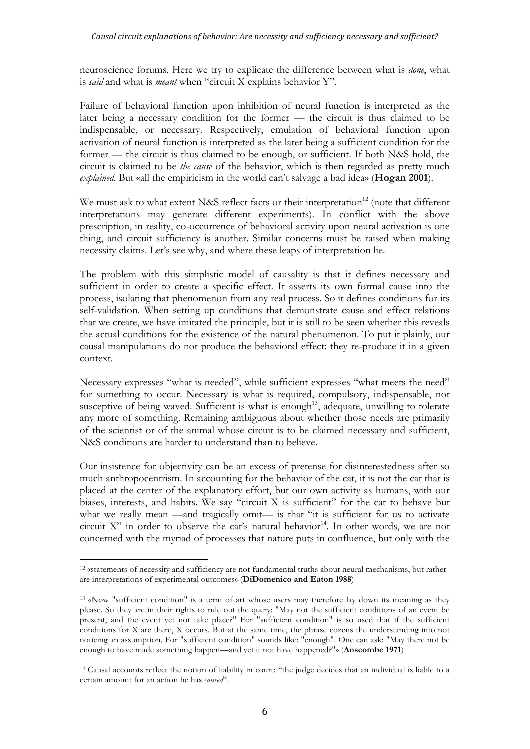neuroscience forums. Here we try to explicate the difference between what is *done*, what is *said* and what is *meant* when "circuit X explains behavior Y".

Failure of behavioral function upon inhibition of neural function is interpreted as the later being a necessary condition for the former — the circuit is thus claimed to be indispensable, or necessary. Respectively, emulation of behavioral function upon activation of neural function is interpreted as the later being a sufficient condition for the former — the circuit is thus claimed to be enough, or sufficient. If both N&S hold, the circuit is claimed to be *the cause* of the behavior, which is then regarded as pretty much *explained*. But «all the empiricism in the world can't salvage a bad idea» (**Hogan 2001**).

We must ask to what extent N&S reflect facts or their interpretation<sup>12</sup> (note that different interpretations may generate different experiments). In conflict with the above prescription, in reality, co-occurrence of behavioral activity upon neural activation is one thing, and circuit sufficiency is another. Similar concerns must be raised when making necessity claims. Let's see why, and where these leaps of interpretation lie.

The problem with this simplistic model of causality is that it defines necessary and sufficient in order to create a specific effect. It asserts its own formal cause into the process, isolating that phenomenon from any real process. So it defines conditions for its self-validation. When setting up conditions that demonstrate cause and effect relations that we create, we have imitated the principle, but it is still to be seen whether this reveals the actual conditions for the existence of the natural phenomenon. To put it plainly, our causal manipulations do not produce the behavioral effect: they re-produce it in a given context.

Necessary expresses "what is needed", while sufficient expresses "what meets the need" for something to occur. Necessary is what is required, compulsory, indispensable, not susceptive of being waved. Sufficient is what is enough<sup>13</sup>, adequate, unwilling to tolerate any more of something. Remaining ambiguous about whether those needs are primarily of the scientist or of the animal whose circuit is to be claimed necessary and sufficient, N&S conditions are harder to understand than to believe.

Our insistence for objectivity can be an excess of pretense for disinterestedness after so much anthropocentrism. In accounting for the behavior of the cat, it is not the cat that is placed at the center of the explanatory effort, but our own activity as humans, with our biases, interests, and habits. We say "circuit X is sufficient" for the cat to behave but what we really mean —and tragically omit— is that "it is sufficient for us to activate circuit  $X''$  in order to observe the cat's natural behavior<sup>14</sup>. In other words, we are not concerned with the myriad of processes that nature puts in confluence, but only with the

<sup>12 «</sup>statements of necessity and sufficiency are not fundamental truths about neural mechanisms, but rather are interpretations of experimental outcomes» (**DiDomenico and Eaton 1988**)

<sup>13</sup> «Now "sufficient condition" is a term of art whose users may therefore lay down its meaning as they please. So they are in their rights to rule out the query: "May not the sufficient conditions of an event be present, and the event yet not take place?" For "sufficient condition" is so used that if the sufficient conditions for X are there, X occurs. But at the same time, the phrase cozens the understanding into not noticing an assumption. For "sufficient condition" sounds like: "enough". One can ask: "May there not be enough to have made something happen—and yet it not have happened?"» (**Anscombe 1971**)

<sup>14</sup> Causal accounts reflect the notion of liability in court: "the judge decides that an individual is liable to a certain amount for an action he has *caused*".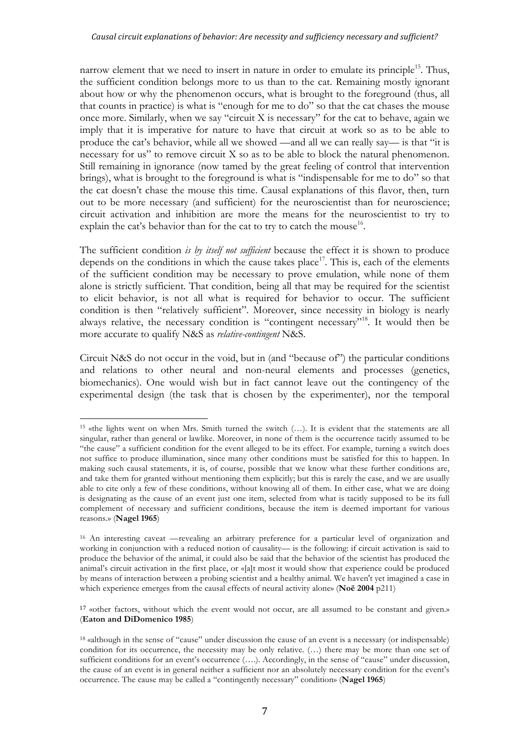narrow element that we need to insert in nature in order to emulate its principle<sup>15</sup>. Thus, the sufficient condition belongs more to us than to the cat. Remaining mostly ignorant about how or why the phenomenon occurs, what is brought to the foreground (thus, all that counts in practice) is what is "enough for me to do" so that the cat chases the mouse once more. Similarly, when we say "circuit X is necessary" for the cat to behave, again we imply that it is imperative for nature to have that circuit at work so as to be able to produce the cat's behavior, while all we showed —and all we can really say— is that "it is necessary for us" to remove circuit X so as to be able to block the natural phenomenon. Still remaining in ignorance (now tamed by the great feeling of control that intervention brings), what is brought to the foreground is what is "indispensable for me to do" so that the cat doesn't chase the mouse this time. Causal explanations of this flavor, then, turn out to be more necessary (and sufficient) for the neuroscientist than for neuroscience; circuit activation and inhibition are more the means for the neuroscientist to try to explain the cat's behavior than for the cat to try to catch the mouse<sup>16</sup>.

The sufficient condition *is by itself not sufficient* because the effect it is shown to produce depends on the conditions in which the cause takes place<sup>17</sup>. This is, each of the elements of the sufficient condition may be necessary to prove emulation, while none of them alone is strictly sufficient. That condition, being all that may be required for the scientist to elicit behavior, is not all what is required for behavior to occur. The sufficient condition is then "relatively sufficient". Moreover, since necessity in biology is nearly always relative, the necessary condition is "contingent necessary"18. It would then be more accurate to qualify N&S as *relative-contingent* N&S.

Circuit N&S do not occur in the void, but in (and "because of") the particular conditions and relations to other neural and non-neural elements and processes (genetics, biomechanics). One would wish but in fact cannot leave out the contingency of the experimental design (the task that is chosen by the experimenter), nor the temporal

 

<sup>17</sup> «other factors, without which the event would not occur, are all assumed to be constant and given.» (**Eaton and DiDomenico 1985**)

<sup>15 «</sup>the lights went on when Mrs. Smith turned the switch (…). It is evident that the statements are all singular, rather than general or lawlike. Moreover, in none of them is the occurrence tacitly assumed to be "the cause" a sufficient condition for the event alleged to be its effect. For example, turning a switch does not suffice to produce illumination, since many other conditions must be satisfied for this to happen. In making such causal statements, it is, of course, possible that we know what these further conditions are, and take them for granted without mentioning them explicitly; but this is rarely the case, and we are usually able to cite only a few of these conditions, without knowing all of them. In either case, what we are doing is designating as the cause of an event just one item, selected from what is tacitly supposed to be its full complement of necessary and sufficient conditions, because the item is deemed important for various reasons.» (**Nagel 1965**)

<sup>16</sup> An interesting caveat —revealing an arbitrary preference for a particular level of organization and working in conjunction with a reduced notion of causality— is the following: if circuit activation is said to produce the behavior of the animal, it could also be said that the behavior of the scientist has produced the animal's circuit activation in the first place, or «[a]t most it would show that experience could be produced by means of interaction between a probing scientist and a healthy animal. We haven't yet imagined a case in which experience emerges from the causal effects of neural activity alone» (**Noë 2004** p211)

<sup>18 «</sup>although in the sense of "cause" under discussion the cause of an event is a necessary (or indispensable) condition for its occurrence, the necessity may be only relative. (…) there may be more than one set of sufficient conditions for an event's occurrence (….). Accordingly, in the sense of "cause" under discussion, the cause of an event is in general neither a sufficient nor an absolutely necessary condition for the event's occurrence. The cause may be called a "contingently necessary" condition» (**Nagel 1965**)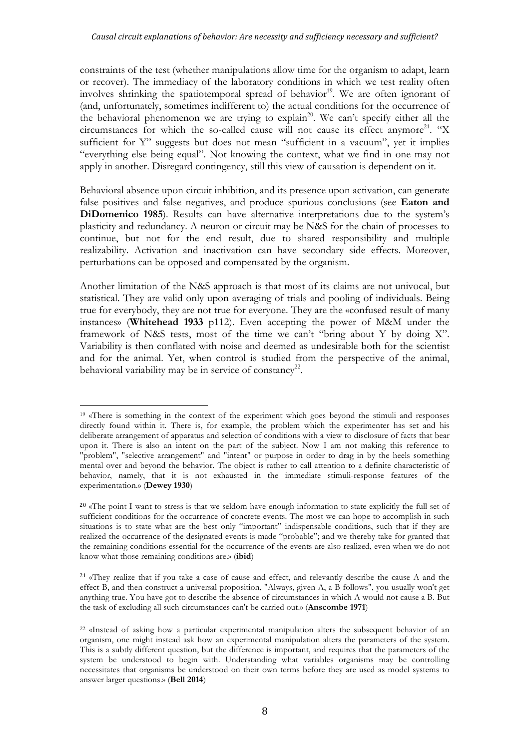constraints of the test (whether manipulations allow time for the organism to adapt, learn or recover). The immediacy of the laboratory conditions in which we test reality often involves shrinking the spatiotemporal spread of behavior<sup>19</sup>. We are often ignorant of (and, unfortunately, sometimes indifferent to) the actual conditions for the occurrence of the behavioral phenomenon we are trying to explain<sup>20</sup>. We can't specify either all the circumstances for which the so-called cause will not cause its effect anymore<sup>21</sup>. "X sufficient for Y" suggests but does not mean "sufficient in a vacuum", yet it implies "everything else being equal". Not knowing the context, what we find in one may not apply in another. Disregard contingency, still this view of causation is dependent on it.

Behavioral absence upon circuit inhibition, and its presence upon activation, can generate false positives and false negatives, and produce spurious conclusions (see **Eaton and DiDomenico 1985**). Results can have alternative interpretations due to the system's plasticity and redundancy. A neuron or circuit may be N&S for the chain of processes to continue, but not for the end result, due to shared responsibility and multiple realizability. Activation and inactivation can have secondary side effects. Moreover, perturbations can be opposed and compensated by the organism.

Another limitation of the N&S approach is that most of its claims are not univocal, but statistical. They are valid only upon averaging of trials and pooling of individuals. Being true for everybody, they are not true for everyone. They are the «confused result of many instances» (**Whitehead 1933** p112). Even accepting the power of M&M under the framework of N&S tests, most of the time we can't "bring about Y by doing X". Variability is then conflated with noise and deemed as undesirable both for the scientist and for the animal. Yet, when control is studied from the perspective of the animal, behavioral variability may be in service of constancy<sup>22</sup>.

<sup>19</sup> «There is something in the context of the experiment which goes beyond the stimuli and responses directly found within it. There is, for example, the problem which the experimenter has set and his deliberate arrangement of apparatus and selection of conditions with a view to disclosure of facts that bear upon it. There is also an intent on the part of the subject. Now I am not making this reference to "problem", "selective arrangement" and "intent" or purpose in order to drag in by the heels something mental over and beyond the behavior. The object is rather to call attention to a definite characteristic of behavior, namely, that it is not exhausted in the immediate stimuli-response features of the experimentation.» (**Dewey 1930**)

<sup>20</sup> «The point I want to stress is that we seldom have enough information to state explicitly the full set of sufficient conditions for the occurrence of concrete events. The most we can hope to accomplish in such situations is to state what are the best only "important" indispensable conditions, such that if they are realized the occurrence of the designated events is made "probable"; and we thereby take for granted that the remaining conditions essential for the occurrence of the events are also realized, even when we do not know what those remaining conditions are.» (**ibid**)

<sup>&</sup>lt;sup>21</sup> «They realize that if you take a case of cause and effect, and relevantly describe the cause A and the effect B, and then construct a universal proposition, "Always, given A, a B follows", you usually won't get anything true. You have got to describe the absence of circumstances in which A would not cause a B. But the task of excluding all such circumstances can't be carried out.» (**Anscombe 1971**)

<sup>22</sup> «Instead of asking how a particular experimental manipulation alters the subsequent behavior of an organism, one might instead ask how an experimental manipulation alters the parameters of the system. This is a subtly different question, but the difference is important, and requires that the parameters of the system be understood to begin with. Understanding what variables organisms may be controlling necessitates that organisms be understood on their own terms before they are used as model systems to answer larger questions.» (**Bell 2014**)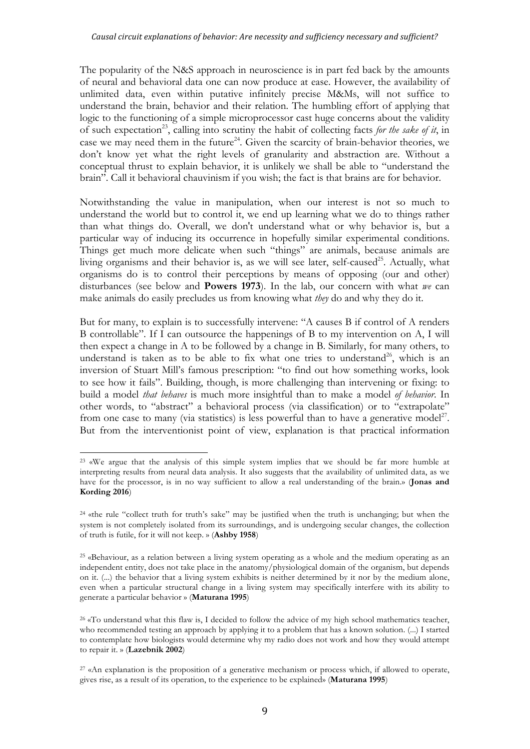The popularity of the N&S approach in neuroscience is in part fed back by the amounts of neural and behavioral data one can now produce at ease. However, the availability of unlimited data, even within putative infinitely precise M&Ms, will not suffice to understand the brain, behavior and their relation. The humbling effort of applying that logic to the functioning of a simple microprocessor cast huge concerns about the validity of such expectation23, calling into scrutiny the habit of collecting facts *for the sake of it*, in case we may need them in the future<sup>24</sup>. Given the scarcity of brain-behavior theories, we don't know yet what the right levels of granularity and abstraction are. Without a conceptual thrust to explain behavior, it is unlikely we shall be able to "understand the brain". Call it behavioral chauvinism if you wish; the fact is that brains are for behavior.

Notwithstanding the value in manipulation, when our interest is not so much to understand the world but to control it, we end up learning what we do to things rather than what things do. Overall, we don't understand what or why behavior is, but a particular way of inducing its occurrence in hopefully similar experimental conditions. Things get much more delicate when such "things" are animals, because animals are living organisms and their behavior is, as we will see later, self-caused<sup>25</sup>. Actually, what organisms do is to control their perceptions by means of opposing (our and other) disturbances (see below and **Powers 1973**). In the lab, our concern with what *we* can make animals do easily precludes us from knowing what *they* do and why they do it.

But for many, to explain is to successfully intervene: "A causes B if control of A renders B controllable". If I can outsource the happenings of B to my intervention on A, I will then expect a change in A to be followed by a change in B. Similarly, for many others, to understand is taken as to be able to fix what one tries to understand<sup>26</sup>, which is an inversion of Stuart Mill's famous prescription: "to find out how something works, look to see how it fails". Building, though, is more challenging than intervening or fixing: to build a model *that behaves* is much more insightful than to make a model *of behavior*. In other words, to "abstract" a behavioral process (via classification) or to "extrapolate" from one case to many (via statistics) is less powerful than to have a generative model<sup>27</sup>. But from the interventionist point of view, explanation is that practical information

 <sup>23</sup> «We argue that the analysis of this simple system implies that we should be far more humble at interpreting results from neural data analysis. It also suggests that the availability of unlimited data, as we have for the processor, is in no way sufficient to allow a real understanding of the brain.» (**Jonas and Kording 2016**)

<sup>24 «</sup>the rule "collect truth for truth's sake" may be justified when the truth is unchanging; but when the system is not completely isolated from its surroundings, and is undergoing secular changes, the collection of truth is futile, for it will not keep. » (**Ashby 1958**)

<sup>25 «</sup>Behaviour, as a relation between a living system operating as a whole and the medium operating as an independent entity, does not take place in the anatomy/physiological domain of the organism, but depends on it. (...) the behavior that a living system exhibits is neither determined by it nor by the medium alone, even when a particular structural change in a living system may specifically interfere with its ability to generate a particular behavior » (**Maturana 1995**)

<sup>26 «</sup>To understand what this flaw is, I decided to follow the advice of my high school mathematics teacher, who recommended testing an approach by applying it to a problem that has a known solution. (...) I started to contemplate how biologists would determine why my radio does not work and how they would attempt to repair it. » (**Lazebnik 2002**)

<sup>&</sup>lt;sup>27</sup> «An explanation is the proposition of a generative mechanism or process which, if allowed to operate, gives rise, as a result of its operation, to the experience to be explained» (**Maturana 1995**)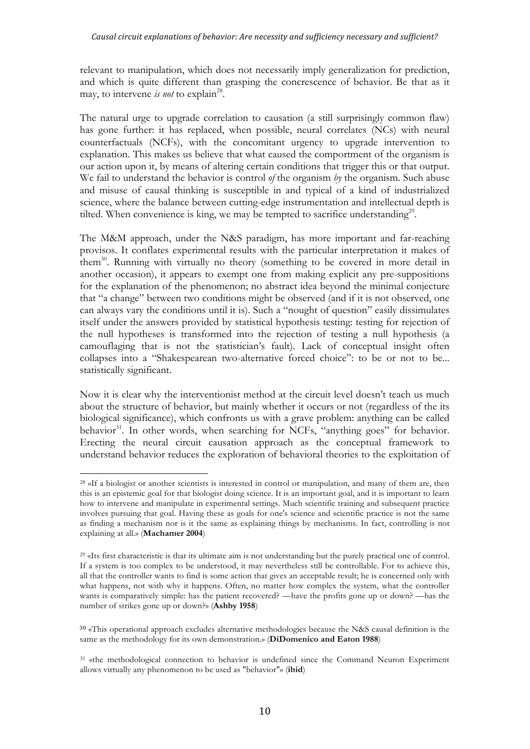relevant to manipulation, which does not necessarily imply generalization for prediction, and which is quite different than grasping the concrescence of behavior. Be that as it may, to intervene *is not* to explain<sup>28</sup>.

The natural urge to upgrade correlation to causation (a still surprisingly common flaw) has gone further: it has replaced, when possible, neural correlates (NCs) with neural counterfactuals (NCFs), with the concomitant urgency to upgrade intervention to explanation. This makes us believe that what caused the comportment of the organism is our action upon it, by means of altering certain conditions that trigger this or that output. We fail to understand the behavior is control *of* the organism *by* the organism. Such abuse and misuse of causal thinking is susceptible in and typical of a kind of industrialized science, where the balance between cutting-edge instrumentation and intellectual depth is tilted. When convenience is king, we may be tempted to sacrifice understanding<sup>29</sup>.

The M&M approach, under the N&S paradigm, has more important and far-reaching provisos. It conflates experimental results with the particular interpretation it makes of them<sup>30</sup>. Running with virtually no theory (something to be covered in more detail in another occasion), it appears to exempt one from making explicit any pre-suppositions for the explanation of the phenomenon; no abstract idea beyond the minimal conjecture that "a change" between two conditions might be observed (and if it is not observed, one can always vary the conditions until it is). Such a "nought of question" easily dissimulates itself under the answers provided by statistical hypothesis testing: testing for rejection of the null hypotheses is transformed into the rejection of testing a null hypothesis (a camouflaging that is not the statistician's fault). Lack of conceptual insight often collapses into a "Shakespearean two-alternative forced choice": to be or not to be... statistically significant.

Now it is clear why the interventionist method at the circuit level doesn't teach us much about the structure of behavior, but mainly whether it occurs or not (regardless of the its biological significance), which confronts us with a grave problem: anything can be called behavior<sup>31</sup>. In other words, when searching for NCFs, "anything goes" for behavior. Erecting the neural circuit causation approach as the conceptual framework to understand behavior reduces the exploration of behavioral theories to the exploitation of

<sup>&</sup>lt;sup>28</sup> «If a biologist or another scientists is interested in control or manipulation, and many of them are, then this is an epistemic goal for that biologist doing science. It is an important goal, and it is important to learn how to intervene and manipulate in experimental settings. Much scientific training and subsequent practice involves pursuing that goal. Having these as goals for one's science and scientific practice is not the same as finding a mechanism nor is it the same as explaining things by mechanisms. In fact, controlling is not explaining at all.» (**Machamer 2004**)

<sup>29</sup> «Its first characteristic is that its ultimate aim is not understanding but the purely practical one of control. If a system is too complex to be understood, it may nevertheless still be controllable. For to achieve this, all that the controller wants to find is some action that gives an acceptable result; he is concerned only with what happens, not with why it happens. Often, no matter how complex the system, what the controller wants is comparatively simple: has the patient recovered? —have the profits gone up or down? —has the number of strikes gone up or down?» (**Ashby 1958**)

<sup>30</sup> «This operational approach excludes alternative methodologies because the N&S causal definition is the same as the methodology for its own demonstration.» (**DiDomenico and Eaton 1988**)

<sup>&</sup>lt;sup>31</sup> «the methodological connection to behavior is undefined since the Command Neuron Experiment allows virtually any phenomenon to be used as "behavior"» (**ibid**)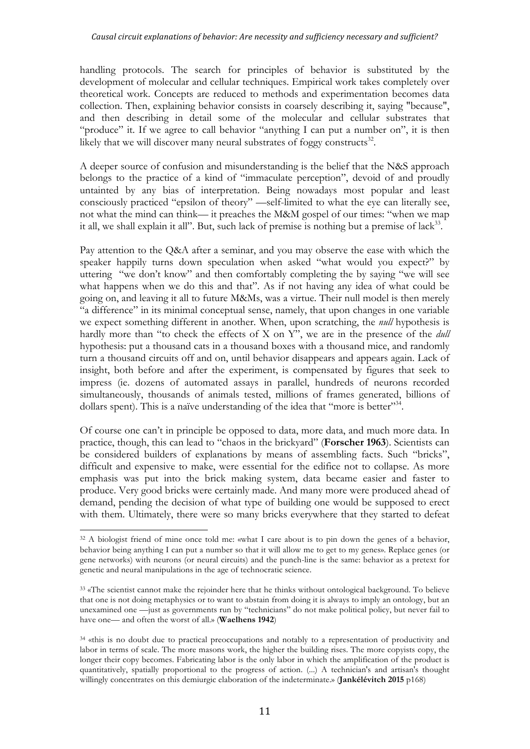handling protocols. The search for principles of behavior is substituted by the development of molecular and cellular techniques. Empirical work takes completely over theoretical work. Concepts are reduced to methods and experimentation becomes data collection. Then, explaining behavior consists in coarsely describing it, saying "because", and then describing in detail some of the molecular and cellular substrates that "produce" it. If we agree to call behavior "anything I can put a number on", it is then likely that we will discover many neural substrates of foggy constructs<sup>32</sup>.

A deeper source of confusion and misunderstanding is the belief that the N&S approach belongs to the practice of a kind of "immaculate perception", devoid of and proudly untainted by any bias of interpretation. Being nowadays most popular and least consciously practiced "epsilon of theory" —self-limited to what the eye can literally see, not what the mind can think— it preaches the M&M gospel of our times: "when we map it all, we shall explain it all". But, such lack of premise is nothing but a premise of lack $33$ .

Pay attention to the Q&A after a seminar, and you may observe the ease with which the speaker happily turns down speculation when asked "what would you expect?" by uttering "we don't know" and then comfortably completing the by saying "we will see what happens when we do this and that". As if not having any idea of what could be going on, and leaving it all to future M&Ms, was a virtue. Their null model is then merely "a difference" in its minimal conceptual sense, namely, that upon changes in one variable we expect something different in another. When, upon scratching, the *null* hypothesis is hardly more than "to check the effects of X on Y", we are in the presence of the *dull* hypothesis: put a thousand cats in a thousand boxes with a thousand mice, and randomly turn a thousand circuits off and on, until behavior disappears and appears again. Lack of insight, both before and after the experiment, is compensated by figures that seek to impress (ie. dozens of automated assays in parallel, hundreds of neurons recorded simultaneously, thousands of animals tested, millions of frames generated, billions of dollars spent). This is a naïve understanding of the idea that "more is better"<sup>34</sup>.

Of course one can't in principle be opposed to data, more data, and much more data. In practice, though, this can lead to "chaos in the brickyard" (**Forscher 1963**). Scientists can be considered builders of explanations by means of assembling facts. Such "bricks", difficult and expensive to make, were essential for the edifice not to collapse. As more emphasis was put into the brick making system, data became easier and faster to produce. Very good bricks were certainly made. And many more were produced ahead of demand, pending the decision of what type of building one would be supposed to erect with them. Ultimately, there were so many bricks everywhere that they started to defeat

<sup>32</sup> A biologist friend of mine once told me: «what I care about is to pin down the genes of a behavior, behavior being anything I can put a number so that it will allow me to get to my genes». Replace genes (or gene networks) with neurons (or neural circuits) and the punch-line is the same: behavior as a pretext for genetic and neural manipulations in the age of technocratic science.

<sup>&</sup>lt;sup>33</sup> «The scientist cannot make the rejoinder here that he thinks without ontological background. To believe that one is not doing metaphysics or to want to abstain from doing it is always to imply an ontology, but an unexamined one —just as governments run by "technicians" do not make political policy, but never fail to have one— and often the worst of all.» (**Waelhens 1942**)

<sup>&</sup>lt;sup>34</sup> «this is no doubt due to practical preoccupations and notably to a representation of productivity and labor in terms of scale. The more masons work, the higher the building rises. The more copyists copy, the longer their copy becomes. Fabricating labor is the only labor in which the amplification of the product is quantitatively, spatially proportional to the progress of action. (...) A technician's and artisan's thought willingly concentrates on this demiurgic elaboration of the indeterminate.» (**Jankélévitch 2015** p168)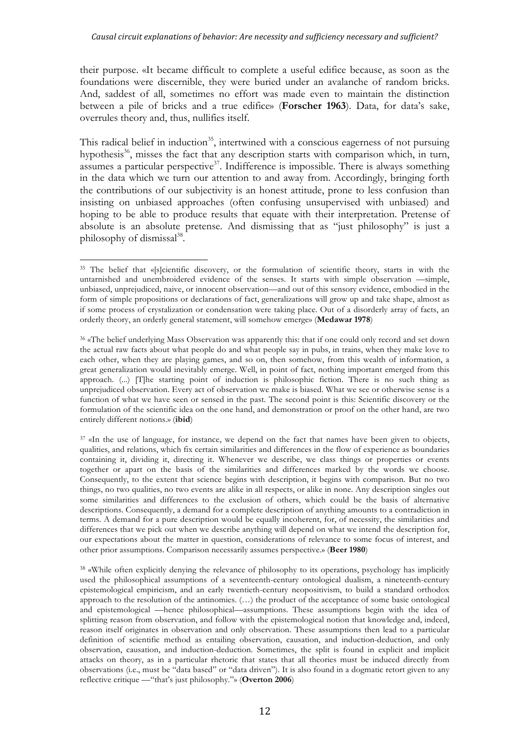their purpose. «It became difficult to complete a useful edifice because, as soon as the foundations were discernible, they were buried under an avalanche of random bricks. And, saddest of all, sometimes no effort was made even to maintain the distinction between a pile of bricks and a true edifice» (**Forscher 1963**). Data, for data's sake, overrules theory and, thus, nullifies itself.

This radical belief in induction<sup>35</sup>, intertwined with a conscious eagerness of not pursuing hypothesis<sup>36</sup>, misses the fact that any description starts with comparison which, in turn, assumes a particular perspective<sup>37</sup>. Indifference is impossible. There is always something in the data which we turn our attention to and away from. Accordingly, bringing forth the contributions of our subjectivity is an honest attitude, prone to less confusion than insisting on unbiased approaches (often confusing unsupervised with unbiased) and hoping to be able to produce results that equate with their interpretation. Pretense of absolute is an absolute pretense. And dismissing that as "just philosophy" is just a philosophy of dismissal<sup>38</sup>.

<sup>37</sup> «In the use of language, for instance, we depend on the fact that names have been given to objects, qualities, and relations, which fix certain similarities and differences in the flow of experience as boundaries containing it, dividing it, directing it. Whenever we describe, we class things or properties or events together or apart on the basis of the similarities and differences marked by the words we choose. Consequently, to the extent that science begins with description, it begins with comparison. But no two things, no two qualities, no two events are alike in all respects, or alike in none. Any description singles out some similarities and differences to the exclusion of others, which could be the basis of alternative descriptions. Consequently, a demand for a complete description of anything amounts to a contradiction in terms. A demand for a pure description would be equally incoherent, for, of necessity, the similarities and differences that we pick out when we describe anything will depend on what we intend the description for, our expectations about the matter in question, considerations of relevance to some focus of interest, and other prior assumptions. Comparison necessarily assumes perspective.» (**Beer 1980**)

<sup>38</sup> «While often explicitly denying the relevance of philosophy to its operations, psychology has implicitly used the philosophical assumptions of a seventeenth-century ontological dualism, a nineteenth-century epistemological empiricism, and an early twentieth-century neopositivism, to build a standard orthodox approach to the resolution of the antinomies. (…) the product of the acceptance of some basic ontological and epistemological —hence philosophical—assumptions. These assumptions begin with the idea of splitting reason from observation, and follow with the epistemological notion that knowledge and, indeed, reason itself originates in observation and only observation. These assumptions then lead to a particular definition of scientific method as entailing observation, causation, and induction-deduction, and only observation, causation, and induction-deduction. Sometimes, the split is found in explicit and implicit attacks on theory, as in a particular rhetoric that states that all theories must be induced directly from observations (i.e., must be "data based" or "data driven"). It is also found in a dogmatic retort given to any reflective critique —"that's just philosophy."» (**Overton 2006**)

 35 The belief that «[s]cientific discovery, or the formulation of scientific theory, starts in with the untarnished and unembroidered evidence of the senses. It starts with simple observation —simple, unbiased, unprejudiced, naive, or innocent observation—and out of this sensory evidence, embodied in the form of simple propositions or declarations of fact, generalizations will grow up and take shape, almost as if some process of crystalization or condensation were taking place. Out of a disorderly array of facts, an orderly theory, an orderly general statement, will somehow emerge» (**Medawar 1978**)

<sup>36</sup> «The belief underlying Mass Observation was apparently this: that if one could only record and set down the actual raw facts about what people do and what people say in pubs, in trains, when they make love to each other, when they are playing games, and so on, then somehow, from this wealth of information, a great generalization would inevitably emerge. Well, in point of fact, nothing important emerged from this approach. (...) [T]he starting point of induction is philosophic fiction. There is no such thing as unprejudiced observation. Every act of observation we make is biased. What we see or otherwise sense is a function of what we have seen or sensed in the past. The second point is this: Scientific discovery or the formulation of the scientific idea on the one hand, and demonstration or proof on the other hand, are two entirely different notions.» (**ibid**)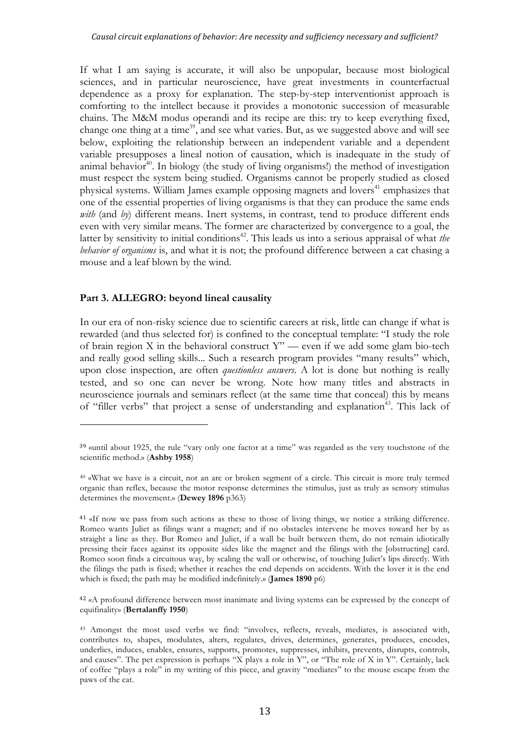If what I am saying is accurate, it will also be unpopular, because most biological sciences, and in particular neuroscience, have great investments in counterfactual dependence as a proxy for explanation. The step-by-step interventionist approach is comforting to the intellect because it provides a monotonic succession of measurable chains. The M&M modus operandi and its recipe are this: try to keep everything fixed, change one thing at a time<sup>39</sup>, and see what varies. But, as we suggested above and will see below, exploiting the relationship between an independent variable and a dependent variable presupposes a lineal notion of causation, which is inadequate in the study of animal behavior<sup>40</sup>. In biology (the study of living organisms!) the method of investigation must respect the system being studied. Organisms cannot be properly studied as closed physical systems. William James example opposing magnets and lovers<sup>41</sup> emphasizes that one of the essential properties of living organisms is that they can produce the same ends *with* (and *by*) different means. Inert systems, in contrast, tend to produce different ends even with very similar means. The former are characterized by convergence to a goal, the latter by sensitivity to initial conditions<sup>42</sup>. This leads us into a serious appraisal of what *the behavior of organisms* is, and what it is not; the profound difference between a cat chasing a mouse and a leaf blown by the wind.

### **Part 3. ALLEGRO: beyond lineal causality**

 

In our era of non-risky science due to scientific careers at risk, little can change if what is rewarded (and thus selected for) is confined to the conceptual template: "I study the role of brain region X in the behavioral construct  $Y''$  — even if we add some glam bio-tech and really good selling skills... Such a research program provides "many results" which, upon close inspection, are often *questionless answers*. A lot is done but nothing is really tested, and so one can never be wrong. Note how many titles and abstracts in neuroscience journals and seminars reflect (at the same time that conceal) this by means of "filler verbs" that project a sense of understanding and explanation<sup>43</sup>. This lack of

<sup>42</sup> «A profound difference between most inanimate and living systems can be expressed by the concept of equifinality» (**Bertalanffy 1950**)

<sup>39</sup> «until about 1925, the rule "vary only one factor at a time" was regarded as the very touchstone of the scientific method.» (**Ashby 1958**)

<sup>40</sup> «What we have is a circuit, not an arc or broken segment of a circle. This circuit is more truly termed organic than reflex, because the motor response determines the stimulus, just as truly as sensory stimulus determines the movement.» (**Dewey 1896** p363)

<sup>41</sup> «If now we pass from such actions as these to those of living things, we notice a striking difference. Romeo wants Juliet as filings want a magnet; and if no obstacles intervene he moves toward her by as straight a line as they. But Romeo and Juliet, if a wall be built between them, do not remain idiotically pressing their faces against its opposite sides like the magnet and the filings with the [obstructing] card. Romeo soon finds a circuitous way, by scaling the wall or otherwise, of touching Juliet's lips directly. With the filings the path is fixed; whether it reaches the end depends on accidents. With the lover it is the end which is fixed; the path may be modified indefinitely.» (**James 1890** p6)

<sup>43</sup> Amongst the most used verbs we find: "involves, reflects, reveals, mediates, is associated with, contributes to, shapes, modulates, alters, regulates, drives, determines, generates, produces, encodes, underlies, induces, enables, ensures, supports, promotes, suppresses, inhibits, prevents, disrupts, controls, and causes". The pet expression is perhaps "X plays a role in Y", or "The role of X in Y". Certainly, lack of coffee "plays a role" in my writing of this piece, and gravity "mediates" to the mouse escape from the paws of the cat.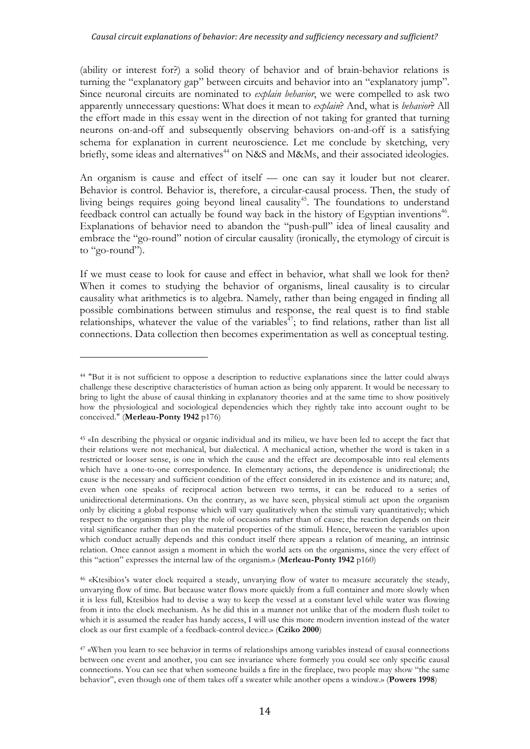(ability or interest for?) a solid theory of behavior and of brain-behavior relations is turning the "explanatory gap" between circuits and behavior into an "explanatory jump". Since neuronal circuits are nominated to *explain behavior*, we were compelled to ask two apparently unnecessary questions: What does it mean to *explain*? And, what is *behavior*? All the effort made in this essay went in the direction of not taking for granted that turning neurons on-and-off and subsequently observing behaviors on-and-off is a satisfying schema for explanation in current neuroscience. Let me conclude by sketching, very briefly, some ideas and alternatives<sup>44</sup> on N&S and M&Ms, and their associated ideologies.

An organism is cause and effect of itself — one can say it louder but not clearer. Behavior is control. Behavior is, therefore, a circular-causal process. Then, the study of living beings requires going beyond lineal causality<sup>45</sup>. The foundations to understand feedback control can actually be found way back in the history of Egyptian inventions<sup>46</sup>. Explanations of behavior need to abandon the "push-pull" idea of lineal causality and embrace the "go-round" notion of circular causality (ironically, the etymology of circuit is to "go-round").

If we must cease to look for cause and effect in behavior, what shall we look for then? When it comes to studying the behavior of organisms, lineal causality is to circular causality what arithmetics is to algebra. Namely, rather than being engaged in finding all possible combinations between stimulus and response, the real quest is to find stable relationships, whatever the value of the variables<sup> $7$ </sup>; to find relations, rather than list all connections. Data collection then becomes experimentation as well as conceptual testing.

 

46 «Ktesibios's water clock required a steady, unvarying flow of water to measure accurately the steady, unvarying flow of time. But because water flows more quickly from a full container and more slowly when it is less full, Ktesibios had to devise a way to keep the vessel at a constant level while water was flowing from it into the clock mechanism. As he did this in a manner not unlike that of the modern flush toilet to which it is assumed the reader has handy access, I will use this more modern invention instead of the water clock as our first example of a feedback-control device.» (**Cziko 2000**)

<sup>44 &</sup>quot;But it is not sufficient to oppose a description to reductive explanations since the latter could always challenge these descriptive characteristics of human action as being only apparent. It would be necessary to bring to light the abuse of causal thinking in explanatory theories and at the same time to show positively how the physiological and sociological dependencies which they rightly take into account ought to be conceived." (**Merleau-Ponty 1942** p176)

<sup>45</sup> «In describing the physical or organic individual and its milieu, we have been led to accept the fact that their relations were not mechanical, but dialectical. A mechanical action, whether the word is taken in a restricted or looser sense, is one in which the cause and the effect are decomposable into real elements which have a one-to-one correspondence. In elementary actions, the dependence is unidirectional; the cause is the necessary and sufficient condition of the effect considered in its existence and its nature; and, even when one speaks of reciprocal action between two terms, it can be reduced to a series of unidirectional determinations. On the contrary, as we have seen, physical stimuli act upon the organism only by eliciting a global response which will vary qualitatively when the stimuli vary quantitatively; which respect to the organism they play the role of occasions rather than of cause; the reaction depends on their vital significance rather than on the material properties of the stimuli. Hence, between the variables upon which conduct actually depends and this conduct itself there appears a relation of meaning, an intrinsic relation. Once cannot assign a moment in which the world acts on the organisms, since the very effect of this "action" expresses the internal law of the organism.» (**Merleau-Ponty 1942** p160)

<sup>47</sup> «When you learn to see behavior in terms of relationships among variables instead of causal connections between one event and another, you can see invariance where formerly you could see only specific causal connections. You can see that when someone builds a fire in the fireplace, two people may show "the same behavior", even though one of them takes off a sweater while another opens a window.» (**Powers 1998**)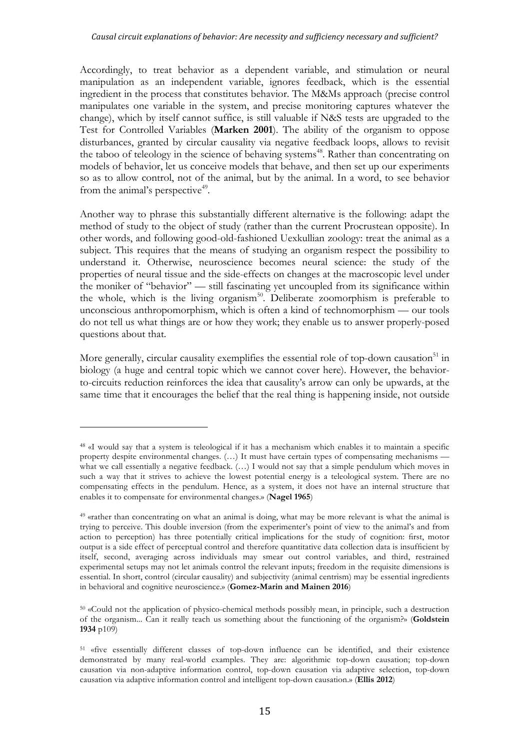Accordingly, to treat behavior as a dependent variable, and stimulation or neural manipulation as an independent variable, ignores feedback, which is the essential ingredient in the process that constitutes behavior. The M&Ms approach (precise control manipulates one variable in the system, and precise monitoring captures whatever the change), which by itself cannot suffice, is still valuable if N&S tests are upgraded to the Test for Controlled Variables (**Marken 2001**). The ability of the organism to oppose disturbances, granted by circular causality via negative feedback loops, allows to revisit the taboo of teleology in the science of behaving systems<sup>48</sup>. Rather than concentrating on models of behavior, let us conceive models that behave, and then set up our experiments so as to allow control, not of the animal, but by the animal. In a word, to see behavior from the animal's perspective<sup>49</sup>.

Another way to phrase this substantially different alternative is the following: adapt the method of study to the object of study (rather than the current Procrustean opposite). In other words, and following good-old-fashioned Uexkullian zoology: treat the animal as a subject. This requires that the means of studying an organism respect the possibility to understand it. Otherwise, neuroscience becomes neural science: the study of the properties of neural tissue and the side-effects on changes at the macroscopic level under the moniker of "behavior" — still fascinating yet uncoupled from its significance within the whole, which is the living organism<sup>50</sup>. Deliberate zoomorphism is preferable to unconscious anthropomorphism, which is often a kind of technomorphism — our tools do not tell us what things are or how they work; they enable us to answer properly-posed questions about that.

More generally, circular causality exemplifies the essential role of top-down causation<sup>51</sup> in biology (a huge and central topic which we cannot cover here). However, the behaviorto-circuits reduction reinforces the idea that causality's arrow can only be upwards, at the same time that it encourages the belief that the real thing is happening inside, not outside

<sup>48 «</sup>I would say that a system is teleological if it has a mechanism which enables it to maintain a specific property despite environmental changes. (…) It must have certain types of compensating mechanisms what we call essentially a negative feedback. (…) I would not say that a simple pendulum which moves in such a way that it strives to achieve the lowest potential energy is a teleological system. There are no compensating effects in the pendulum. Hence, as a system, it does not have an internal structure that enables it to compensate for environmental changes.» (**Nagel 1965**)

<sup>49</sup> «rather than concentrating on what an animal is doing, what may be more relevant is what the animal is trying to perceive. This double inversion (from the experimenter's point of view to the animal's and from action to perception) has three potentially critical implications for the study of cognition: first, motor output is a side effect of perceptual control and therefore quantitative data collection data is insufficient by itself, second, averaging across individuals may smear out control variables, and third, restrained experimental setups may not let animals control the relevant inputs; freedom in the requisite dimensions is essential. In short, control (circular causality) and subjectivity (animal centrism) may be essential ingredients in behavioral and cognitive neuroscience.» (**Gomez-Marin and Mainen 2016**)

<sup>50 «</sup>Could not the application of physico-chemical methods possibly mean, in principle, such a destruction of the organism... Can it really teach us something about the functioning of the organism?» (**Goldstein 1934** p109)

<sup>51 «</sup>five essentially different classes of top-down influence can be identified, and their existence demonstrated by many real-world examples. They are: algorithmic top-down causation; top-down causation via non-adaptive information control, top-down causation via adaptive selection, top-down causation via adaptive information control and intelligent top-down causation.» (**Ellis 2012**)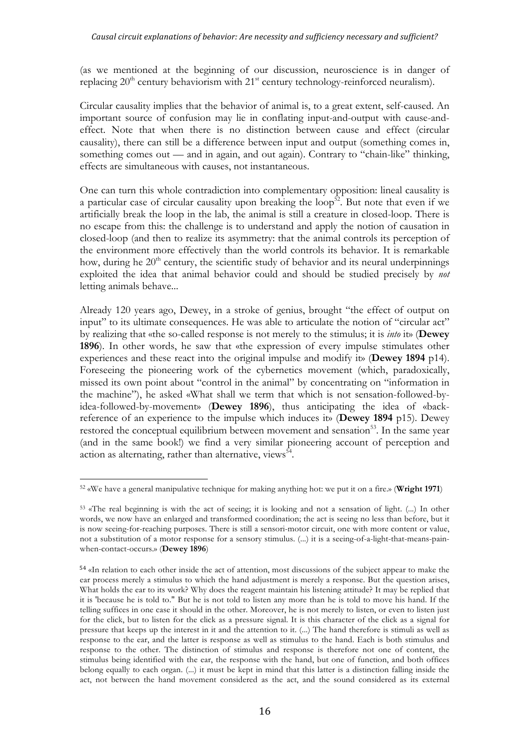(as we mentioned at the beginning of our discussion, neuroscience is in danger of replacing  $20<sup>th</sup>$  century behaviorism with  $21<sup>st</sup>$  century technology-reinforced neuralism).

Circular causality implies that the behavior of animal is, to a great extent, self-caused. An important source of confusion may lie in conflating input-and-output with cause-andeffect. Note that when there is no distinction between cause and effect (circular causality), there can still be a difference between input and output (something comes in, something comes out — and in again, and out again). Contrary to "chain-like" thinking, effects are simultaneous with causes, not instantaneous.

One can turn this whole contradiction into complementary opposition: lineal causality is a particular case of circular causality upon breaking the loop<sup>52</sup>. But note that even if we artificially break the loop in the lab, the animal is still a creature in closed-loop. There is no escape from this: the challenge is to understand and apply the notion of causation in closed-loop (and then to realize its asymmetry: that the animal controls its perception of the environment more effectively than the world controls its behavior. It is remarkable how, during he  $20<sup>th</sup>$  century, the scientific study of behavior and its neural underpinnings exploited the idea that animal behavior could and should be studied precisely by *not* letting animals behave...

Already 120 years ago, Dewey, in a stroke of genius, brought "the effect of output on input" to its ultimate consequences. He was able to articulate the notion of "circular act" by realizing that «the so-called response is not merely to the stimulus; it is *into* it» (**Dewey 1896**). In other words, he saw that «the expression of every impulse stimulates other experiences and these react into the original impulse and modify it» (**Dewey 1894** p14). Foreseeing the pioneering work of the cybernetics movement (which, paradoxically, missed its own point about "control in the animal" by concentrating on "information in the machine"), he asked «What shall we term that which is not sensation-followed-byidea-followed-by-movement» (**Dewey 1896**), thus anticipating the idea of «backreference of an experience to the impulse which induces it» (**Dewey 1894** p15). Dewey restored the conceptual equilibrium between movement and sensation<sup>53</sup>. In the same year (and in the same book!) we find a very similar pioneering account of perception and action as alternating, rather than alternative, views<sup>54</sup>.

 52 «We have a general manipulative technique for making anything hot: we put it on a fire.» (**Wright 1971**)

<sup>53 «</sup>The real beginning is with the act of seeing; it is looking and not a sensation of light. (...) In other words, we now have an enlarged and transformed coordination; the act is seeing no less than before, but it is now seeing-for-reaching purposes. There is still a sensori-motor circuit, one with more content or value, not a substitution of a motor response for a sensory stimulus. (...) it is a seeing-of-a-light-that-means-painwhen-contact-occurs.» (**Dewey 1896**)

<sup>54</sup> «In relation to each other inside the act of attention, most discussions of the subject appear to make the ear process merely a stimulus to which the hand adjustment is merely a response. But the question arises, What holds the ear to its work? Why does the reagent maintain his listening attitude? It may be replied that it is 'because he is told to." But he is not told to listen any more than he is told to move his hand. If the telling suffices in one case it should in the other. Moreover, he is not merely to listen, or even to listen just for the click, but to listen for the click as a pressure signal. It is this character of the click as a signal for pressure that keeps up the interest in it and the attention to it. (...) The hand therefore is stimuli as well as response to the ear, and the latter is response as well as stimulus to the hand. Each is both stimulus and response to the other. The distinction of stimulus and response is therefore not one of content, the stimulus being identified with the ear, the response with the hand, but one of function, and both offices belong equally to each organ. (...) it must be kept in mind that this latter is a distinction falling inside the act, not between the hand movement considered as the act, and the sound considered as its external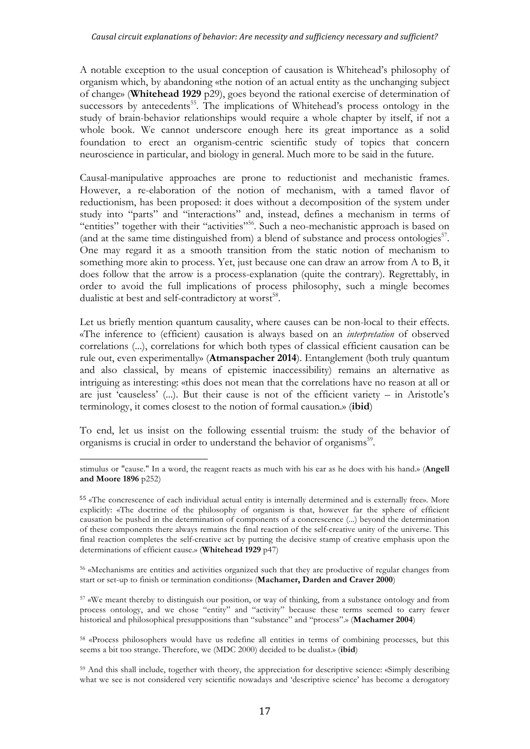A notable exception to the usual conception of causation is Whitehead's philosophy of organism which, by abandoning «the notion of an actual entity as the unchanging subject of change» (**Whitehead 1929** p29), goes beyond the rational exercise of determination of successors by antecedents<sup>55</sup>. The implications of Whitehead's process ontology in the study of brain-behavior relationships would require a whole chapter by itself, if not a whole book. We cannot underscore enough here its great importance as a solid foundation to erect an organism-centric scientific study of topics that concern neuroscience in particular, and biology in general. Much more to be said in the future.

Causal-manipulative approaches are prone to reductionist and mechanistic frames. However, a re-elaboration of the notion of mechanism, with a tamed flavor of reductionism, has been proposed: it does without a decomposition of the system under study into "parts" and "interactions" and, instead, defines a mechanism in terms of "entities" together with their "activities"<sup>56</sup>. Such a neo-mechanistic approach is based on (and at the same time distinguished from) a blend of substance and process ontologies 57. One may regard it as a smooth transition from the static notion of mechanism to something more akin to process. Yet, just because one can draw an arrow from A to B, it does follow that the arrow is a process-explanation (quite the contrary). Regrettably, in order to avoid the full implications of process philosophy, such a mingle becomes dualistic at best and self-contradictory at worst<sup>58</sup>.

Let us briefly mention quantum causality, where causes can be non-local to their effects. «The inference to (efficient) causation is always based on an *interpretation* of observed correlations (...), correlations for which both types of classical efficient causation can be rule out, even experimentally» (**Atmanspacher 2014**). Entanglement (both truly quantum and also classical, by means of epistemic inaccessibility) remains an alternative as intriguing as interesting: «this does not mean that the correlations have no reason at all or are just 'causeless'  $(...)$ . But their cause is not of the efficient variety – in Aristotle's terminology, it comes closest to the notion of formal causation.» (**ibid**)

To end, let us insist on the following essential truism: the study of the behavior of organisms is crucial in order to understand the behavior of organisms<sup>59</sup>.

56 «Mechanisms are entities and activities organized such that they are productive of regular changes from start or set-up to finish or termination conditions» (**Machamer, Darden and Craver 2000**)

57 «We meant thereby to distinguish our position, or way of thinking, from a substance ontology and from process ontology, and we chose "entity" and "activity" because these terms seemed to carry fewer historical and philosophical presuppositions than "substance" and "process".» (**Machamer 2004**)

<sup>58</sup> «Process philosophers would have us redefine all entities in terms of combining processes, but this seems a bit too strange. Therefore, we (MDC 2000) decided to be dualist.» (**ibid**)

<sup>59</sup> And this shall include, together with theory, the appreciation for descriptive science: «Simply describing what we see is not considered very scientific nowadays and 'descriptive science' has become a derogatory

 stimulus or "cause." In a word, the reagent reacts as much with his ear as he does with his hand.» (**Angell and Moore 1896** p252)

<sup>55</sup> «The concrescence of each individual actual entity is internally determined and is externally free». More explicitly: «The doctrine of the philosophy of organism is that, however far the sphere of efficient causation be pushed in the determination of components of a concrescence (...) beyond the determination of these components there always remains the final reaction of the self-creative unity of the universe. This final reaction completes the self-creative act by putting the decisive stamp of creative emphasis upon the determinations of efficient cause.» (**Whitehead 1929** p47)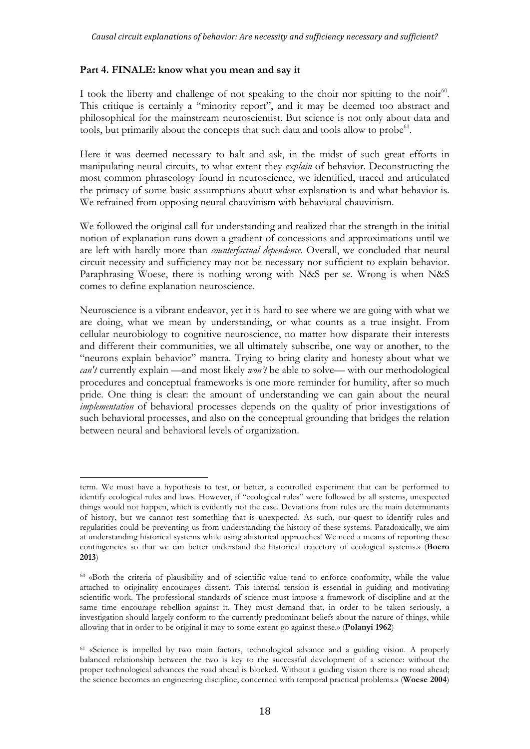### **Part 4. FINALE: know what you mean and say it**

I took the liberty and challenge of not speaking to the choir nor spitting to the noir<sup>60</sup>. This critique is certainly a "minority report", and it may be deemed too abstract and philosophical for the mainstream neuroscientist. But science is not only about data and tools, but primarily about the concepts that such data and tools allow to probe $^{61}$ .

Here it was deemed necessary to halt and ask, in the midst of such great efforts in manipulating neural circuits, to what extent they *explain* of behavior. Deconstructing the most common phraseology found in neuroscience, we identified, traced and articulated the primacy of some basic assumptions about what explanation is and what behavior is. We refrained from opposing neural chauvinism with behavioral chauvinism.

We followed the original call for understanding and realized that the strength in the initial notion of explanation runs down a gradient of concessions and approximations until we are left with hardly more than *counterfactual dependence*. Overall, we concluded that neural circuit necessity and sufficiency may not be necessary nor sufficient to explain behavior. Paraphrasing Woese, there is nothing wrong with N&S per se. Wrong is when N&S comes to define explanation neuroscience.

Neuroscience is a vibrant endeavor, yet it is hard to see where we are going with what we are doing, what we mean by understanding, or what counts as a true insight. From cellular neurobiology to cognitive neuroscience, no matter how disparate their interests and different their communities, we all ultimately subscribe, one way or another, to the "neurons explain behavior" mantra. Trying to bring clarity and honesty about what we *can't* currently explain —and most likely *won't* be able to solve— with our methodological procedures and conceptual frameworks is one more reminder for humility, after so much pride. One thing is clear: the amount of understanding we can gain about the neural *implementation* of behavioral processes depends on the quality of prior investigations of such behavioral processes, and also on the conceptual grounding that bridges the relation between neural and behavioral levels of organization.

 term. We must have a hypothesis to test, or better, a controlled experiment that can be performed to identify ecological rules and laws. However, if "ecological rules" were followed by all systems, unexpected things would not happen, which is evidently not the case. Deviations from rules are the main determinants of history, but we cannot test something that is unexpected. As such, our quest to identify rules and regularities could be preventing us from understanding the history of these systems. Paradoxically, we aim at understanding historical systems while using ahistorical approaches! We need a means of reporting these contingencies so that we can better understand the historical trajectory of ecological systems.» (**Boero 2013**)

<sup>60 «</sup>Both the criteria of plausibility and of scientific value tend to enforce conformity, while the value attached to originality encourages dissent. This internal tension is essential in guiding and motivating scientific work. The professional standards of science must impose a framework of discipline and at the same time encourage rebellion against it. They must demand that, in order to be taken seriously, a investigation should largely conform to the currently predominant beliefs about the nature of things, while allowing that in order to be original it may to some extent go against these.» (**Polanyi 1962**)

<sup>61 «</sup>Science is impelled by two main factors, technological advance and a guiding vision. A properly balanced relationship between the two is key to the successful development of a science: without the proper technological advances the road ahead is blocked. Without a guiding vision there is no road ahead; the science becomes an engineering discipline, concerned with temporal practical problems.» (**Woese 2004**)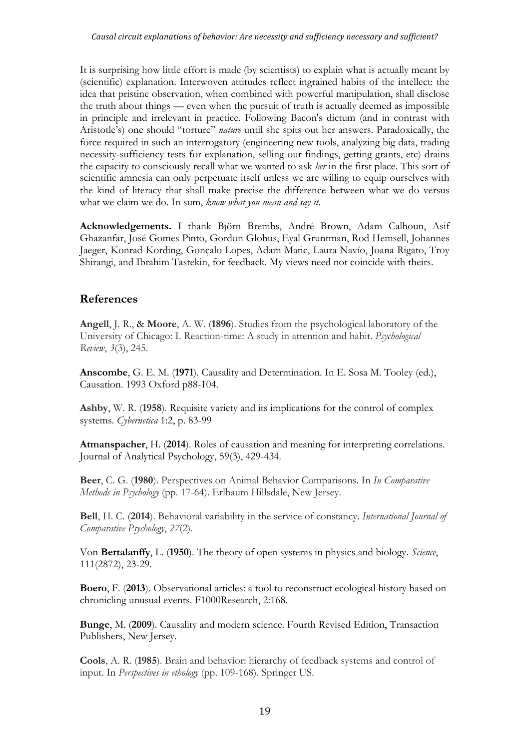It is surprising how little effort is made (by scientists) to explain what is actually meant by (scientific) explanation. Interwoven attitudes reflect ingrained habits of the intellect: the idea that pristine observation, when combined with powerful manipulation, shall disclose the truth about things — even when the pursuit of truth is actually deemed as impossible in principle and irrelevant in practice. Following Bacon's dictum (and in contrast with Aristotle's) one should "torture" *nature* until she spits out her answers. Paradoxically, the force required in such an interrogatory (engineering new tools, analyzing big data, trading necessity-sufficiency tests for explanation, selling our findings, getting grants, etc) drains the capacity to consciously recall what we wanted to ask *her* in the first place. This sort of scientific amnesia can only perpetuate itself unless we are willing to equip ourselves with the kind of literacy that shall make precise the difference between what we do versus what we claim we do. In sum, *know what you mean and say it.*

**Acknowledgements.** I thank Björn Brembs, André Brown, Adam Calhoun, Asif Ghazanfar, José Gomes Pinto, Gordon Globus, Eyal Gruntman, Rod Hemsell, Johannes Jaeger, Konrad Kording, Gonçalo Lopes, Adam Matic, Laura Navío, Joana Rigato, Troy Shirangi, and Ibrahim Tastekin, for feedback. My views need not coincide with theirs.

## **References**

**Angell**, J. R., & **Moore**, A. W. (**1896**). Studies from the psychological laboratory of the University of Chicago: I. Reaction-time: A study in attention and habit. *Psychological Review*, *3*(3), 245.

**Anscombe**, G. E. M. (**1971**). Causality and Determination. In E. Sosa M. Tooley (ed.), Causation. 1993 Oxford p88-104.

**Ashby**, W. R. (**1958**). Requisite variety and its implications for the control of complex systems. *Cybernetica* 1:2, p. 83-99

**Atmanspacher**, H. (**2014**). Roles of causation and meaning for interpreting correlations. Journal of Analytical Psychology, 59(3), 429-434.

**Beer**, C. G. (**1980**). Perspectives on Animal Behavior Comparisons. In *In Comparative Methods in Psychology* (pp. 17-64). Erlbaum Hillsdale, New Jersey.

**Bell**, H. C. (**2014**). Behavioral variability in the service of constancy. *International Journal of Comparative Psychology*, *27*(2).

Von **Bertalanffy**, L. (**1950**). The theory of open systems in physics and biology. *Science*, 111(2872), 23-29.

**Boero**, F. (**2013**). Observational articles: a tool to reconstruct ecological history based on chronicling unusual events. F1000Research, 2:168.

**Bunge**, M. (**2009**). Causality and modern science. Fourth Revised Edition, Transaction Publishers, New Jersey.

**Cools**, A. R. (**1985**). Brain and behavior: hierarchy of feedback systems and control of input. In *Perspectives in ethology* (pp. 109-168). Springer US.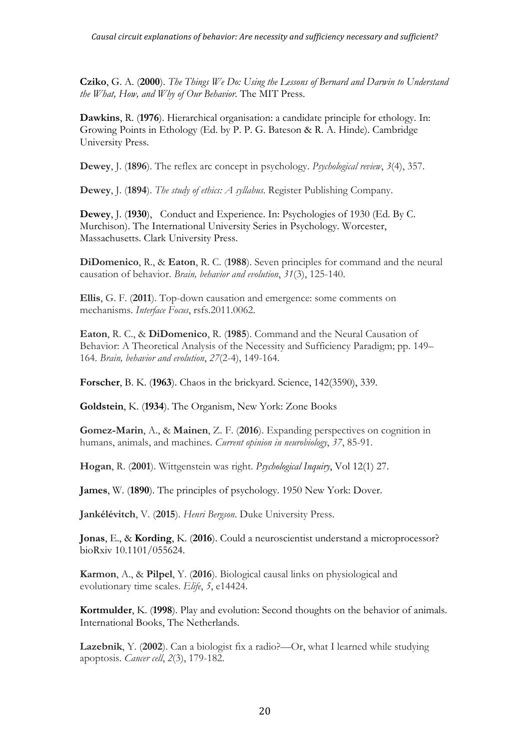**Cziko**, G. A. (**2000**). *The Things We Do: Using the Lessons of Bernard and Darwin to Understand the What, How, and Why of Our Behavior*. The MIT Press.

**Dawkins**, R. (**1976**). Hierarchical organisation: a candidate principle for ethology. In: Growing Points in Ethology (Ed. by P. P. G. Bateson & R. A. Hinde). Cambridge University Press.

**Dewey**, J. (**1896**). The reflex arc concept in psychology. *Psychological review*, *3*(4), 357.

**Dewey**, J. (**1894**). *The study of ethics: A syllabus*. Register Publishing Company.

**Dewey**, J. (**1930**), Conduct and Experience. In: Psychologies of 1930 (Ed. By C. Murchison). The International University Series in Psychology. Worcester, Massachusetts. Clark University Press.

**DiDomenico**, R., & **Eaton**, R. C. (**1988**). Seven principles for command and the neural causation of behavior. *Brain, behavior and evolution*, *31*(3), 125-140.

**Ellis**, G. F. (**2011**). Top-down causation and emergence: some comments on mechanisms. *Interface Focus*, rsfs.2011.0062.

**Eaton**, R. C., & **DiDomenico**, R. (**1985**). Command and the Neural Causation of Behavior: A Theoretical Analysis of the Necessity and Sufficiency Paradigm; pp. 149– 164. *Brain, behavior and evolution*, *27*(2-4), 149-164.

**Forscher**, B. K. (**1963**). Chaos in the brickyard. Science, 142(3590), 339.

**Goldstein**, K. (**1934**). The Organism, New York: Zone Books

**Gomez-Marin**, A., & **Mainen**, Z. F. (**2016**). Expanding perspectives on cognition in humans, animals, and machines. *Current opinion in neurobiology*, *37*, 85-91.

**Hogan**, R. (**2001**). Wittgenstein was right. *Psychological Inquiry*, Vol 12(1) 27.

**James**, W. (**1890**). The principles of psychology. 1950 New York: Dover.

**Jankélévitch**, V. (**2015**). *Henri Bergson*. Duke University Press.

**Jonas**, E., & **Kording**, K. (**2016**). Could a neuroscientist understand a microprocessor? bioRxiv 10.1101/055624.

**Karmon**, A., & **Pilpel**, Y. (**2016**). Biological causal links on physiological and evolutionary time scales. *Elife*, *5*, e14424.

**Kortmulder**, K. (**1998**). Play and evolution: Second thoughts on the behavior of animals. International Books, The Netherlands.

**Lazebnik**, Y. (**2002**). Can a biologist fix a radio?—Or, what I learned while studying apoptosis. *Cancer cell*, *2*(3), 179-182.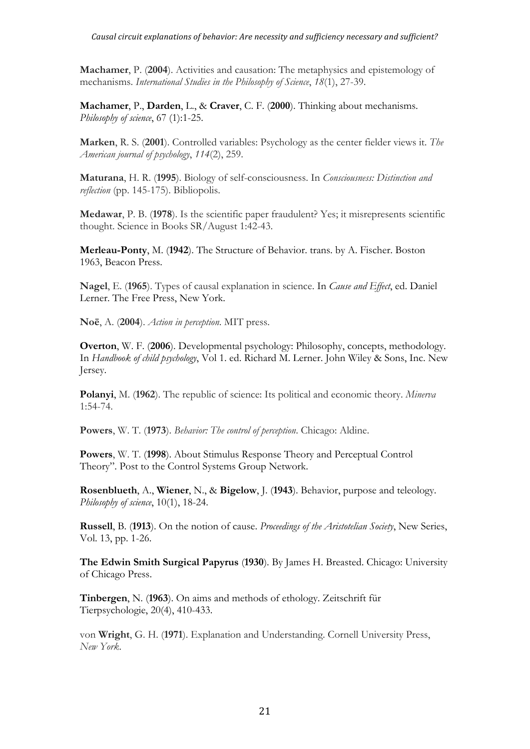**Machamer**, P. (**2004**). Activities and causation: The metaphysics and epistemology of mechanisms. *International Studies in the Philosophy of Science*, *18*(1), 27-39.

**Machamer**, P., **Darden**, L., & **Craver**, C. F. (**2000**). Thinking about mechanisms. *Philosophy of science*, 67 (1):1-25.

**Marken**, R. S. (**2001**). Controlled variables: Psychology as the center fielder views it. *The American journal of psychology*, *114*(2), 259.

**Maturana**, H. R. (**1995**). Biology of self-consciousness. In *Consciousness: Distinction and reflection* (pp. 145-175). Bibliopolis.

**Medawar**, P. B. (**1978**). Is the scientific paper fraudulent? Yes; it misrepresents scientific thought. Science in Books SR/August 1:42-43.

**Merleau-Ponty**, M. (**1942**). The Structure of Behavior. trans. by A. Fischer. Boston 1963, Beacon Press.

**Nagel**, E. (**1965**). Types of causal explanation in science. In *Cause and Effect*, ed. Daniel Lerner. The Free Press, New York.

**Noë**, A. (**2004**). *Action in perception*. MIT press.

**Overton**, W. F. (**2006**). Developmental psychology: Philosophy, concepts, methodology. In *Handbook of child psychology*, Vol 1. ed. Richard M. Lerner. John Wiley & Sons, Inc. New Jersey.

**Polanyi**, M. (**1962**). The republic of science: Its political and economic theory. *Minerva* 1:54-74.

**Powers**, W. T. (**1973**). *Behavior: The control of perception*. Chicago: Aldine.

**Powers**, W. T. (**1998**). About Stimulus Response Theory and Perceptual Control Theory". Post to the Control Systems Group Network.

**Rosenblueth**, A., **Wiener**, N., & **Bigelow**, J. (**1943**). Behavior, purpose and teleology. *Philosophy of science*, 10(1), 18-24.

**Russell**, B. (**1913**). On the notion of cause. *Proceedings of the Aristotelian Society*, New Series, Vol. 13, pp. 1-26.

**The Edwin Smith Surgical Papyrus** (**1930**). By James H. Breasted. Chicago: University of Chicago Press.

**Tinbergen**, N. (**1963**). On aims and methods of ethology. Zeitschrift für Tierpsychologie, 20(4), 410-433.

von **Wright**, G. H. (**1971**). Explanation and Understanding. Cornell University Press, *New York*.